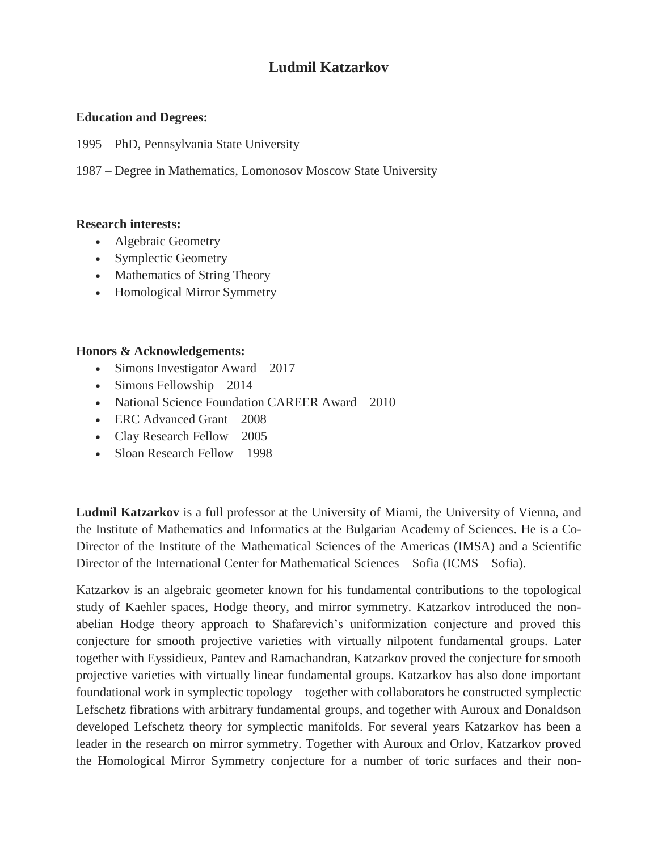## **Ludmil Katzarkov**

## **Education and Degrees:**

1995 – PhD, Pennsylvania State University

1987 – Degree in Mathematics, Lomonosov Moscow State University

## **Research interests:**

- Algebraic Geometry
- Symplectic Geometry
- Mathematics of String Theory
- Homological Mirror Symmetry

## **Honors & Acknowledgements:**

- $\bullet$  Simons Investigator Award 2017
- $\bullet$  Simons Fellowship 2014
- [National Science Foundation CAREER Award](https://fr.wikipedia.org/w/index.php?title=National_Science_Foundation_CAREER_Awards&action=edit&redlink=1) 2010
- ERC Advanced Grant 2008
- Clay Research Fellow  $-2005$
- Sloan Research Fellow 1998

**Ludmil Katzarkov** is a full professor at the University of Miami, the University of Vienna, and the Institute of Mathematics and Informatics at the Bulgarian Academy of Sciences. He is a Co-Director of the Institute of the Mathematical Sciences of the Americas (IMSA) and a Scientific Director of the International Center for Mathematical Sciences – Sofia (ICMS – Sofia).

Katzarkov is an algebraic geometer known for his fundamental contributions to the topological study of Kaehler spaces, Hodge theory, and mirror symmetry. Katzarkov introduced the nonabelian Hodge theory approach to Shafarevich's uniformization conjecture and proved this conjecture for smooth projective varieties with virtually nilpotent fundamental groups. Later together with Eyssidieux, Pantev and Ramachandran, Katzarkov proved the conjecture for smooth projective varieties with virtually linear fundamental groups. Katzarkov has also done important foundational work in symplectic topology – together with collaborators he constructed symplectic Lefschetz fibrations with arbitrary fundamental groups, and together with Auroux and Donaldson developed Lefschetz theory for symplectic manifolds. For several years Katzarkov has been a leader in the research on mirror symmetry. Together with Auroux and Orlov, Katzarkov proved the Homological Mirror Symmetry conjecture for a number of toric surfaces and their non